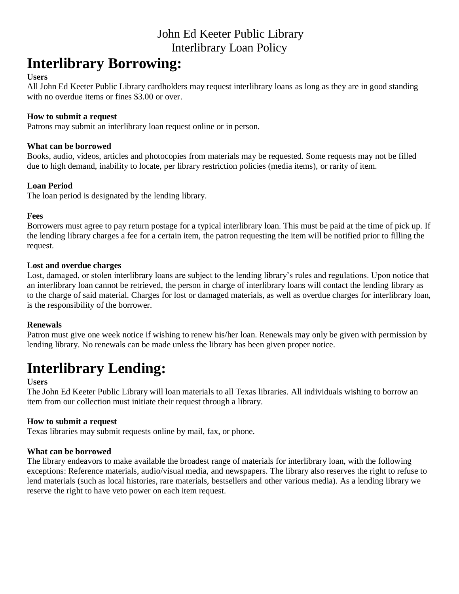# John Ed Keeter Public Library Interlibrary Loan Policy

# **Interlibrary Borrowing:**

#### **Users**

All John Ed Keeter Public Library cardholders may request interlibrary loans as long as they are in good standing with no overdue items or fines \$3.00 or over.

### **How to submit a request**

Patrons may submit an interlibrary loan request online or in person.

# **What can be borrowed**

Books, audio, videos, articles and photocopies from materials may be requested. Some requests may not be filled due to high demand, inability to locate, per library restriction policies (media items), or rarity of item.

# **Loan Period**

The loan period is designated by the lending library.

# **Fees**

Borrowers must agree to pay return postage for a typical interlibrary loan. This must be paid at the time of pick up. If the lending library charges a fee for a certain item, the patron requesting the item will be notified prior to filling the request.

# **Lost and overdue charges**

Lost, damaged, or stolen interlibrary loans are subject to the lending library's rules and regulations. Upon notice that an interlibrary loan cannot be retrieved, the person in charge of interlibrary loans will contact the lending library as to the charge of said material. Charges for lost or damaged materials, as well as overdue charges for interlibrary loan, is the responsibility of the borrower.

# **Renewals**

Patron must give one week notice if wishing to renew his/her loan. Renewals may only be given with permission by lending library. No renewals can be made unless the library has been given proper notice.

# **Interlibrary Lending:**

#### **Users**

The John Ed Keeter Public Library will loan materials to all Texas libraries. All individuals wishing to borrow an item from our collection must initiate their request through a library.

# **How to submit a request**

Texas libraries may submit requests online by mail, fax, or phone.

# **What can be borrowed**

The library endeavors to make available the broadest range of materials for interlibrary loan, with the following exceptions: Reference materials, audio/visual media, and newspapers. The library also reserves the right to refuse to lend materials (such as local histories, rare materials, bestsellers and other various media). As a lending library we reserve the right to have veto power on each item request.